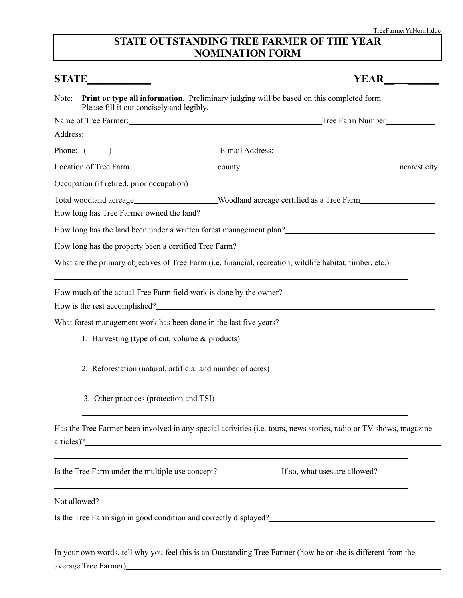## **STATE OUTSTANDING TREE FARMER OF THE YEAR NOMINATION FORM**

| STATE_________ |                                                                   |                                                                                                                                                                                                                                                                                                                                                                                                                 |
|----------------|-------------------------------------------------------------------|-----------------------------------------------------------------------------------------------------------------------------------------------------------------------------------------------------------------------------------------------------------------------------------------------------------------------------------------------------------------------------------------------------------------|
| Note:          | Please fill it out concisely and legibly.                         | Print or type all information. Preliminary judging will be based on this completed form.                                                                                                                                                                                                                                                                                                                        |
|                |                                                                   |                                                                                                                                                                                                                                                                                                                                                                                                                 |
|                |                                                                   | Address: Andreas Address: Address: Address: Address: Address: Address: Address: Address: Address: Address: Address: Address: Address: Address: Address: Address: Address: Address: Address: Address: Address: Address: Address                                                                                                                                                                                  |
|                |                                                                   | Phone: ( ) E-mail Address: E-mail Address:                                                                                                                                                                                                                                                                                                                                                                      |
|                |                                                                   | Location of Tree Farm county county counter and the mearest city                                                                                                                                                                                                                                                                                                                                                |
|                |                                                                   | Occupation (if retired, prior occupation)<br><u>Decupation</u>                                                                                                                                                                                                                                                                                                                                                  |
|                |                                                                   | Total woodland acreage_____________________Woodland acreage certified as a Tree Farm________________                                                                                                                                                                                                                                                                                                            |
|                |                                                                   | How long has Tree Farmer owned the land?<br><u>Low long has Tree Farmer owned the land?</u>                                                                                                                                                                                                                                                                                                                     |
|                |                                                                   | How long has the land been under a written forest management plan?                                                                                                                                                                                                                                                                                                                                              |
|                |                                                                   |                                                                                                                                                                                                                                                                                                                                                                                                                 |
|                |                                                                   | What are the primary objectives of Tree Farm (i.e. financial, recreation, wildlife habitat, timber, etc.)                                                                                                                                                                                                                                                                                                       |
|                |                                                                   | ,我们也不会有一个人的人,我们也不会有一个人的人,我们也不会有一个人的人。""我们,我们也不会有一个人的人,我们也不会有一个人的人,我们也不会有一个人的人。""我<br>How much of the actual Tree Farm field work is done by the owner?<br><u>Letting</u> the same of the actual Tree Farm field work is done by the owner?<br><u>Letting the same of the same of the same of the same of the same of the same </u><br>How is the rest accomplished?<br><u>Letter and the rest accomplished?</u> |
|                | What forest management work has been done in the last five years? |                                                                                                                                                                                                                                                                                                                                                                                                                 |
|                |                                                                   | 1. Harvesting (type of cut, volume $\&$ products)                                                                                                                                                                                                                                                                                                                                                               |
|                |                                                                   |                                                                                                                                                                                                                                                                                                                                                                                                                 |
|                |                                                                   | 3. Other practices (protection and TSI)                                                                                                                                                                                                                                                                                                                                                                         |
|                |                                                                   | Has the Tree Farmer been involved in any special activities (i.e. tours, news stories, radio or TV shows, magazine<br>articles)?                                                                                                                                                                                                                                                                                |
|                |                                                                   | <u> 1989 - Johann Stoff, amerikansk politiker (d. 1989)</u>                                                                                                                                                                                                                                                                                                                                                     |
|                |                                                                   | <u> 1989 - Johann Stoff, amerikansk politiker (d. 1989)</u><br>Not allowed?<br><u>Not allowed?</u>                                                                                                                                                                                                                                                                                                              |
|                |                                                                   | Is the Tree Farm sign in good condition and correctly displayed?<br><u>Letting and the set of the set of the set of the set of the set of the set of the set of the set of the set of the set of the set of the set of the set of </u>                                                                                                                                                                          |
|                |                                                                   | In your own words, tell why you feel this is an Outstanding Tree Farmer (how he or she is different from the                                                                                                                                                                                                                                                                                                    |